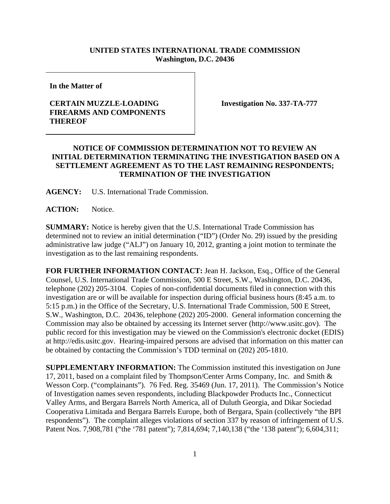## **UNITED STATES INTERNATIONAL TRADE COMMISSION Washington, D.C. 20436**

**In the Matter of** 

## **CERTAIN MUZZLE-LOADING FIREARMS AND COMPONENTS THEREOF**

**Investigation No. 337-TA-777** 

## **NOTICE OF COMMISSION DETERMINATION NOT TO REVIEW AN INITIAL DETERMINATION TERMINATING THE INVESTIGATION BASED ON A SETTLEMENT AGREEMENT AS TO THE LAST REMAINING RESPONDENTS; TERMINATION OF THE INVESTIGATION**

**AGENCY:** U.S. International Trade Commission.

**ACTION:** Notice.

**SUMMARY:** Notice is hereby given that the U.S. International Trade Commission has determined not to review an initial determination ("ID") (Order No. 29) issued by the presiding administrative law judge ("ALJ") on January 10, 2012, granting a joint motion to terminate the investigation as to the last remaining respondents.

**FOR FURTHER INFORMATION CONTACT:** Jean H. Jackson, Esq., Office of the General Counsel, U.S. International Trade Commission, 500 E Street, S.W., Washington, D.C. 20436, telephone (202) 205-3104. Copies of non-confidential documents filed in connection with this investigation are or will be available for inspection during official business hours (8:45 a.m. to 5:15 p.m.) in the Office of the Secretary, U.S. International Trade Commission, 500 E Street, S.W., Washington, D.C. 20436, telephone (202) 205-2000. General information concerning the Commission may also be obtained by accessing its Internet server (http://www.usitc.gov). The public record for this investigation may be viewed on the Commission's electronic docket (EDIS) at http://edis.usitc.gov. Hearing-impaired persons are advised that information on this matter can be obtained by contacting the Commission's TDD terminal on (202) 205-1810.

**SUPPLEMENTARY INFORMATION:** The Commission instituted this investigation on June 17, 2011, based on a complaint filed by Thompson/Center Arms Company, Inc. and Smith & Wesson Corp. ("complainants"). 76 Fed. Reg. 35469 (Jun. 17, 2011). The Commission's Notice of Investigation names seven respondents, including Blackpowder Products Inc., Connecticut Valley Arms, and Bergara Barrels North America, all of Duluth Georgia, and Dikar Sociedad Cooperativa Limitada and Bergara Barrels Europe, both of Bergara, Spain (collectively "the BPI respondents"). The complaint alleges violations of section 337 by reason of infringement of U.S. Patent Nos. 7,908,781 ("the '781 patent"); 7,814,694; 7,140,138 ("the '138 patent"); 6,604,311;